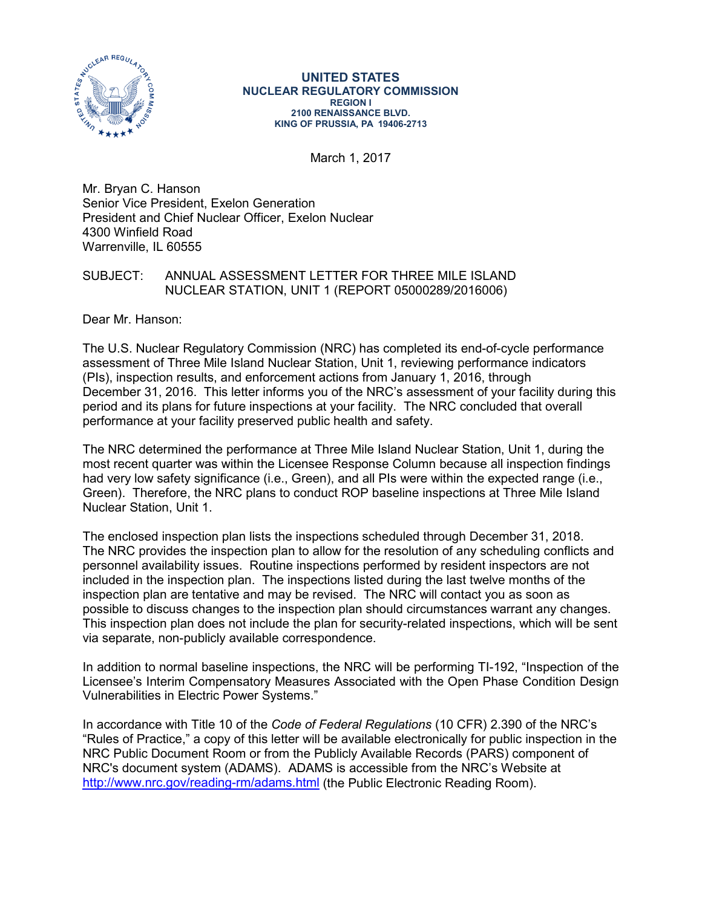

#### **UNITED STATES NUCLEAR REGULATORY COMMISSION REGION I 2100 RENAISSANCE BLVD. KING OF PRUSSIA, PA 19406-2713**

March 1, 2017

Mr. Bryan C. Hanson Senior Vice President, Exelon Generation President and Chief Nuclear Officer, Exelon Nuclear 4300 Winfield Road Warrenville, IL 60555

### SUBJECT: ANNUAL ASSESSMENT LETTER FOR THREE MILE ISLAND NUCLEAR STATION, UNIT 1 (REPORT 05000289/2016006)

Dear Mr. Hanson:

The U.S. Nuclear Regulatory Commission (NRC) has completed its end-of-cycle performance assessment of Three Mile Island Nuclear Station, Unit 1, reviewing performance indicators (PIs), inspection results, and enforcement actions from January 1, 2016, through December 31, 2016. This letter informs you of the NRC's assessment of your facility during this period and its plans for future inspections at your facility. The NRC concluded that overall performance at your facility preserved public health and safety.

The NRC determined the performance at Three Mile Island Nuclear Station, Unit 1, during the most recent quarter was within the Licensee Response Column because all inspection findings had very low safety significance (i.e., Green), and all PIs were within the expected range (i.e., Green). Therefore, the NRC plans to conduct ROP baseline inspections at Three Mile Island Nuclear Station, Unit 1.

The enclosed inspection plan lists the inspections scheduled through December 31, 2018. The NRC provides the inspection plan to allow for the resolution of any scheduling conflicts and personnel availability issues. Routine inspections performed by resident inspectors are not included in the inspection plan. The inspections listed during the last twelve months of the inspection plan are tentative and may be revised. The NRC will contact you as soon as possible to discuss changes to the inspection plan should circumstances warrant any changes. This inspection plan does not include the plan for security-related inspections, which will be sent via separate, non-publicly available correspondence.

In addition to normal baseline inspections, the NRC will be performing TI-192, "Inspection of the Licensee's Interim Compensatory Measures Associated with the Open Phase Condition Design Vulnerabilities in Electric Power Systems."

In accordance with Title 10 of the *Code of Federal Regulations* (10 CFR) 2.390 of the NRC's "Rules of Practice," a copy of this letter will be available electronically for public inspection in the NRC Public Document Room or from the Publicly Available Records (PARS) component of NRC's document system (ADAMS). ADAMS is accessible from the NRC's Website at <http://www.nrc.gov/reading-rm/adams.html> (the Public Electronic Reading Room).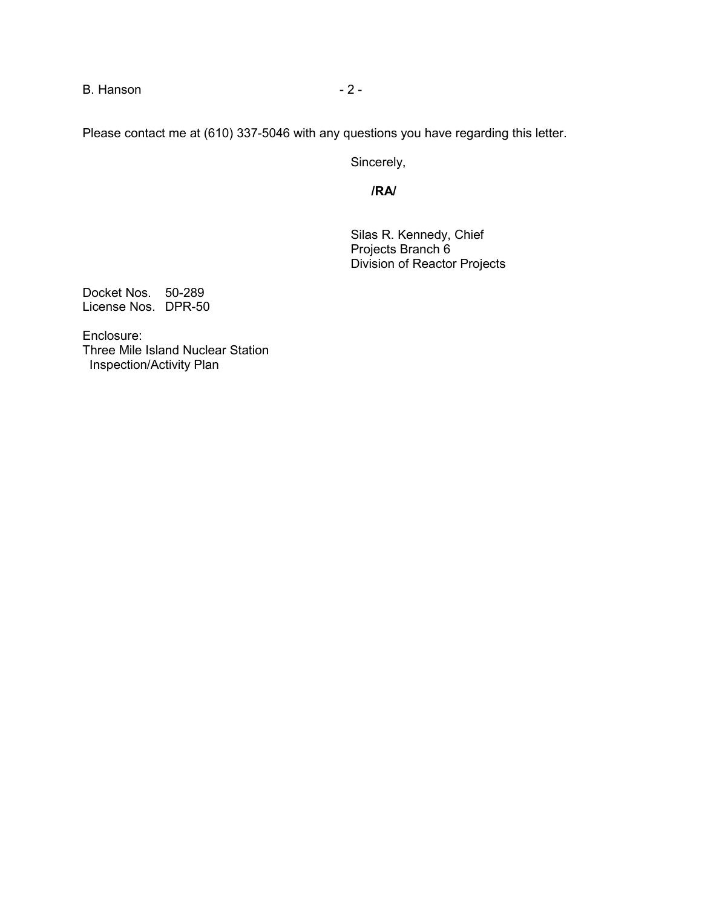B. Hanson **2 - 2 -**

Please contact me at (610) 337-5046 with any questions you have regarding this letter.

Sincerely,

**/RA/**

Silas R. Kennedy, Chief Projects Branch 6 Division of Reactor Projects

Docket Nos. 50-289 License Nos. DPR-50

Enclosure: Three Mile Island Nuclear Station Inspection/Activity Plan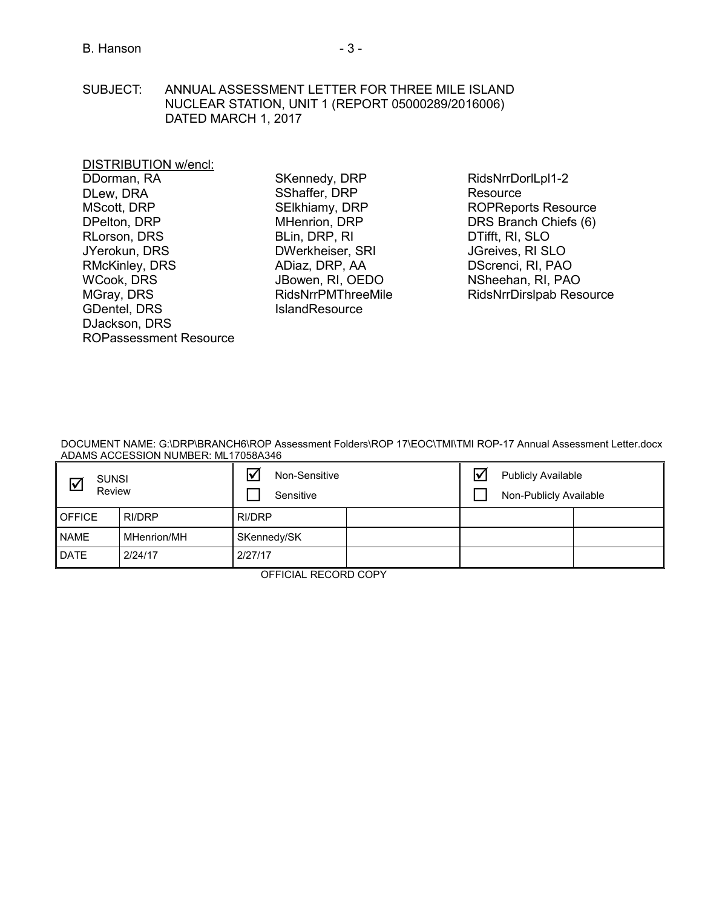SUBJECT: ANNUAL ASSESSMENT LETTER FOR THREE MILE ISLAND NUCLEAR STATION, UNIT 1 (REPORT 05000289/2016006) DATED MARCH 1, 2017

### DISTRIBUTION w/encl:

DDorman, RA DLew, DRA MScott, DRP DPelton, DRP RLorson, DRS JYerokun, DRS RMcKinley, DRS WCook, DRS MGray, DRS GDentel, DRS DJackson, DRS ROPassessment Resource

SKennedy, DRP SShaffer, DRP SElkhiamy, DRP MHenrion, DRP BLin, DRP, RI DWerkheiser, SRI ADiaz, DRP, AA JBowen, RI, OEDO RidsNrrPMThreeMile **IslandResource** 

RidsNrrDorlLpl1-2 **Resource** ROPReports Resource DRS Branch Chiefs (6) DTifft, RI, SLO JGreives, RI SLO DScrenci, RI, PAO NSheehan, RI, PAO [RidsNrrDirslpab Resource](mailto:RidsNrrDirslpab@nrc.gov) 

DOCUMENT NAME: G:\DRP\BRANCH6\ROP Assessment Folders\ROP 17\EOC\TMI\TMI ROP-17 Annual Assessment Letter.docx ADAMS ACCESSION NUMBER: ML17058A346

| <b>SUNSI</b><br>⊻<br>Review |             | $\overline{\mathsf{v}}$<br>Non-Sensitive<br>Sensitive |  |  | <b>Publicly Available</b><br>Non-Publicly Available |  |  |
|-----------------------------|-------------|-------------------------------------------------------|--|--|-----------------------------------------------------|--|--|
| <b>OFFICE</b>               | RI/DRP      | RI/DRP                                                |  |  |                                                     |  |  |
| <b>NAME</b>                 | MHenrion/MH | SKennedy/SK                                           |  |  |                                                     |  |  |
| <b>DATE</b>                 | 2/24/17     | 2/27/17                                               |  |  |                                                     |  |  |

OFFICIAL RECORD COPY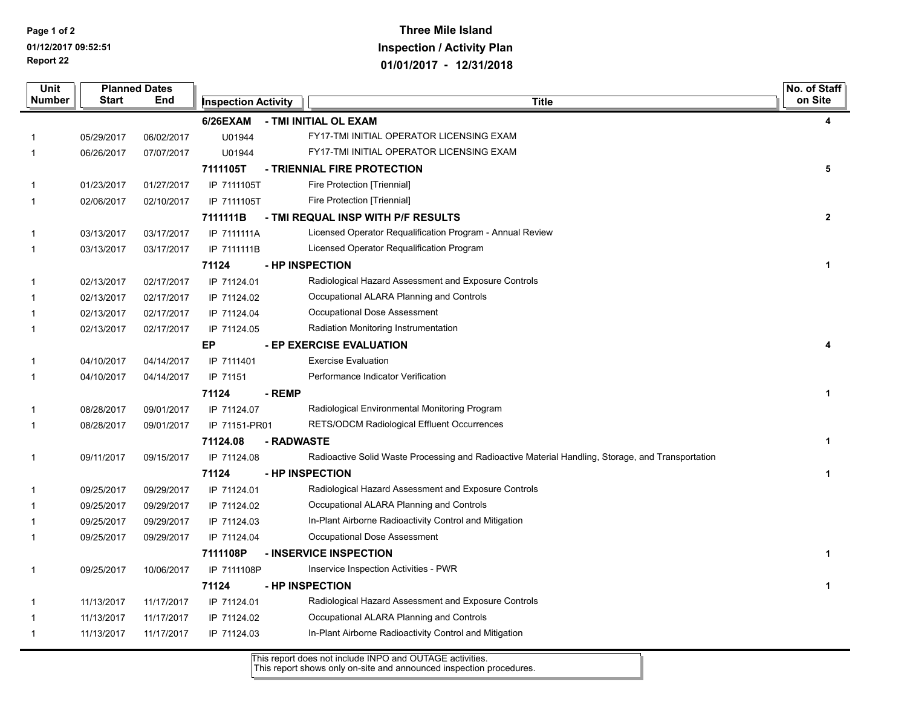**Report 22 Page 1 of 2 01/12/2017 09:52:51**

# **Three Mile Island Inspection / Activity Plan 01/01/2017 - 12/31/2018**

| Unit        | <b>Planned Dates</b><br>Number<br>Start<br><b>End</b> |            |                            |                 | No. of Staff                                                                                      |              |
|-------------|-------------------------------------------------------|------------|----------------------------|-----------------|---------------------------------------------------------------------------------------------------|--------------|
|             |                                                       |            | <b>Inspection Activity</b> |                 | <b>Title</b>                                                                                      |              |
|             |                                                       |            | 6/26EXAM                   |                 | - TMI INITIAL OL EXAM                                                                             | 4            |
|             | 05/29/2017                                            | 06/02/2017 | U01944                     |                 | FY17-TMI INITIAL OPERATOR LICENSING EXAM                                                          |              |
| -1          | 06/26/2017                                            | 07/07/2017 | U01944                     |                 | FY17-TMI INITIAL OPERATOR LICENSING EXAM                                                          |              |
|             |                                                       |            | 7111105T                   |                 | - TRIENNIAL FIRE PROTECTION                                                                       | 5            |
|             | 01/23/2017                                            | 01/27/2017 | IP 7111105T                |                 | Fire Protection [Triennial]                                                                       |              |
| $\mathbf 1$ | 02/06/2017                                            | 02/10/2017 | IP 7111105T                |                 | Fire Protection [Triennial]                                                                       |              |
|             |                                                       |            | 7111111B                   |                 | - TMI REQUAL INSP WITH P/F RESULTS                                                                | $\mathbf{2}$ |
| -1          | 03/13/2017                                            | 03/17/2017 | IP 7111111A                |                 | Licensed Operator Requalification Program - Annual Review                                         |              |
| $\mathbf 1$ | 03/13/2017                                            | 03/17/2017 | IP 7111111B                |                 | Licensed Operator Requalification Program                                                         |              |
|             |                                                       |            | 71124                      | - HP INSPECTION |                                                                                                   | 1            |
|             | 02/13/2017                                            | 02/17/2017 | IP 71124.01                |                 | Radiological Hazard Assessment and Exposure Controls                                              |              |
|             | 02/13/2017                                            | 02/17/2017 | IP 71124.02                |                 | Occupational ALARA Planning and Controls                                                          |              |
|             | 02/13/2017                                            | 02/17/2017 | IP 71124.04                |                 | Occupational Dose Assessment                                                                      |              |
| -1          | 02/13/2017                                            | 02/17/2017 | IP 71124.05                |                 | Radiation Monitoring Instrumentation                                                              |              |
|             |                                                       |            | EP                         |                 | - EP EXERCISE EVALUATION                                                                          | 4            |
|             | 04/10/2017                                            | 04/14/2017 | IP 7111401                 |                 | <b>Exercise Evaluation</b>                                                                        |              |
| -1          | 04/10/2017                                            | 04/14/2017 | IP 71151                   |                 | Performance Indicator Verification                                                                |              |
|             |                                                       |            | 71124                      | - REMP          |                                                                                                   | 1            |
| -1          | 08/28/2017                                            | 09/01/2017 | IP 71124.07                |                 | Radiological Environmental Monitoring Program                                                     |              |
| $\mathbf 1$ | 08/28/2017                                            | 09/01/2017 | IP 71151-PR01              |                 | <b>RETS/ODCM Radiological Effluent Occurrences</b>                                                |              |
|             |                                                       |            | 71124.08                   | - RADWASTE      |                                                                                                   |              |
| -1          | 09/11/2017                                            | 09/15/2017 | IP 71124.08                |                 | Radioactive Solid Waste Processing and Radioactive Material Handling, Storage, and Transportation |              |
|             |                                                       |            | 71124                      | - HP INSPECTION |                                                                                                   | 1            |
| -1          | 09/25/2017                                            | 09/29/2017 | IP 71124.01                |                 | Radiological Hazard Assessment and Exposure Controls                                              |              |
|             | 09/25/2017                                            | 09/29/2017 | IP 71124.02                |                 | Occupational ALARA Planning and Controls                                                          |              |
|             | 09/25/2017                                            | 09/29/2017 | IP 71124.03                |                 | In-Plant Airborne Radioactivity Control and Mitigation                                            |              |
|             | 09/25/2017                                            | 09/29/2017 | IP 71124.04                |                 | Occupational Dose Assessment                                                                      |              |
|             |                                                       |            | 7111108P                   |                 | - INSERVICE INSPECTION                                                                            | 1            |
| 1           | 09/25/2017                                            | 10/06/2017 | IP 7111108P                |                 | Inservice Inspection Activities - PWR                                                             |              |
|             |                                                       |            | 71124                      | - HP INSPECTION |                                                                                                   | 1            |
| -1          | 11/13/2017                                            | 11/17/2017 | IP 71124.01                |                 | Radiological Hazard Assessment and Exposure Controls                                              |              |
|             | 11/13/2017                                            | 11/17/2017 | IP 71124.02                |                 | Occupational ALARA Planning and Controls                                                          |              |
|             | 11/13/2017                                            | 11/17/2017 | IP 71124.03                |                 | In-Plant Airborne Radioactivity Control and Mitigation                                            |              |

This report does not include INPO and OUTAGE activities.

This report shows only on-site and announced inspection procedures.